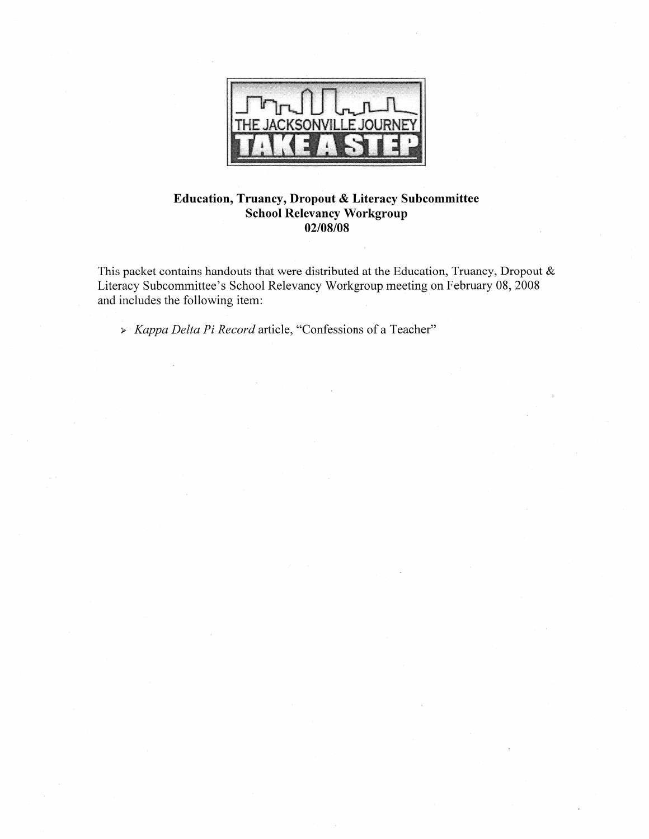

## Education, Truancy, Dropout & Literacy Subcommittee **School Relevancy Workgroup** 02/08/08

This packet contains handouts that were distributed at the Education, Truancy, Dropout & Literacy Subcommittee's School Relevancy Workgroup meeting on February 08, 2008 and includes the following item:

> Kappa Delta Pi Record article, "Confessions of a Teacher"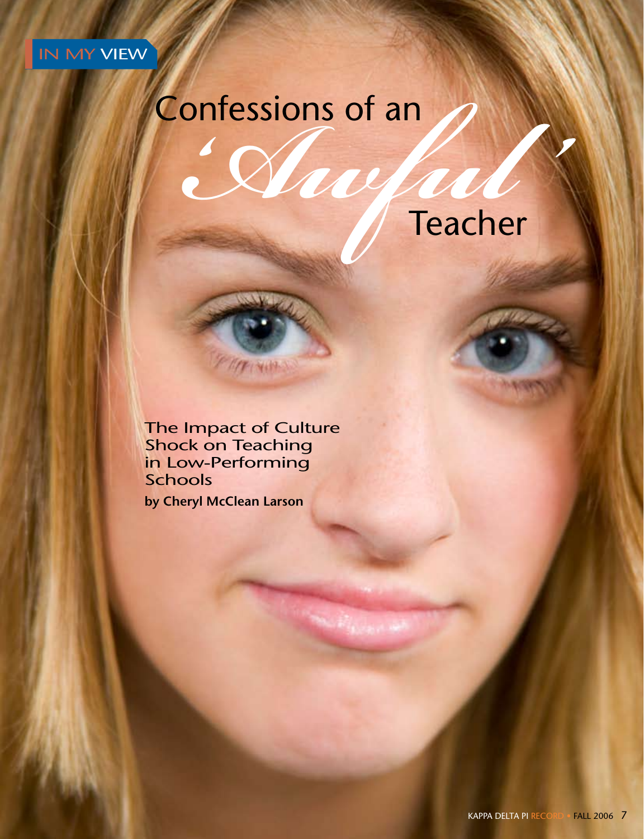

# Confessions of an

**TANK REAL PROPERTY** 



The Impact of Culture Shock on Teaching in Low-Performing **Schools by Cheryl McClean Larson**

T NIN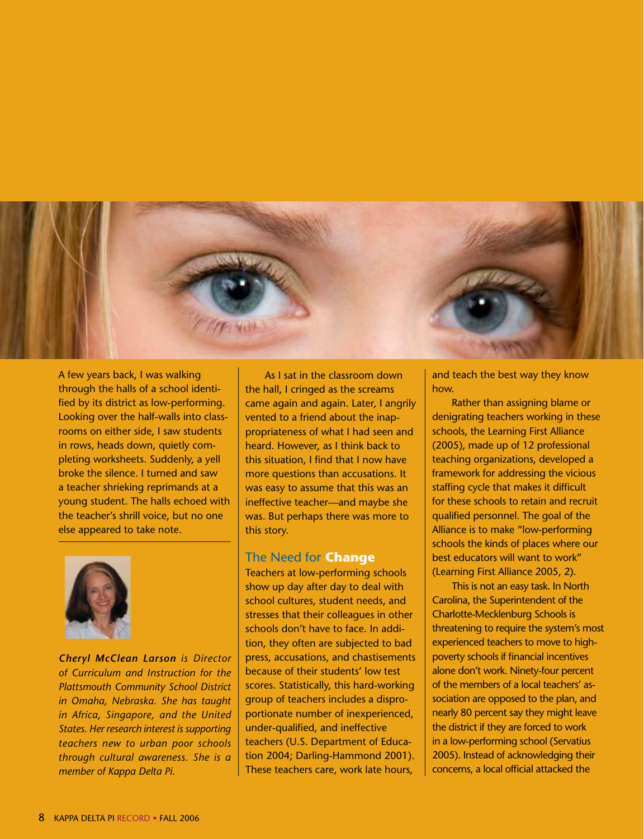

A few years back, I was walking through the halls of a school identified by its district as low-performing. Looking over the half-walls into classrooms on either side, I saw students in rows, heads down, quietly completing worksheets. Suddenly, a yell broke the silence. I turned and saw a teacher shrieking reprimands at a young student. The halls echoed with the teacher's shrill voice, but no one else appeared to take note.



*Cheryl McClean Larson is Director of Curriculum and Instruction for the Plattsmouth Community School District in Omaha, Nebraska. She has taught in Africa, Singapore, and the United States. Her research interest is supporting teachers new to urban poor schools through cultural awareness. She is a member of Kappa Delta Pi.*

As I sat in the classroom down the hall, I cringed as the screams came again and again. Later, I angrily vented to a friend about the inappropriateness of what I had seen and heard. However, as I think back to this situation, I find that I now have more questions than accusations. It was easy to assume that this was an ineffective teacher—and maybe she was. But perhaps there was more to this story.

#### The Need for **Change**

Teachers at low-performing schools show up day after day to deal with school cultures, student needs, and stresses that their colleagues in other schools don't have to face. In addition, they often are subjected to bad press, accusations, and chastisements because of their students' low test scores. Statistically, this hard-working group of teachers includes a disproportionate number of inexperienced, under-qualified, and ineffective teachers (U.S. Department of Education 2004; Darling-Hammond 2001). These teachers care, work late hours,

and teach the best way they know how.

Rather than assigning blame or denigrating teachers working in these schools, the Learning First Alliance (2005), made up of 12 professional teaching organizations, developed a framework for addressing the vicious staffing cycle that makes it difficult for these schools to retain and recruit qualified personnel. The goal of the Alliance is to make "low-performing schools the kinds of places where our best educators will want to work" (Learning First Alliance 2005, 2).

This is not an easy task. In North Carolina, the Superintendent of the Charlotte-Mecklenburg Schools is threatening to require the system's most experienced teachers to move to highpoverty schools if financial incentives alone don't work. Ninety-four percent of the members of a local teachers' association are opposed to the plan, and nearly 80 percent say they might leave the district if they are forced to work in a low-performing school (Servatius 2005). Instead of acknowledging their concerns, a local official attacked the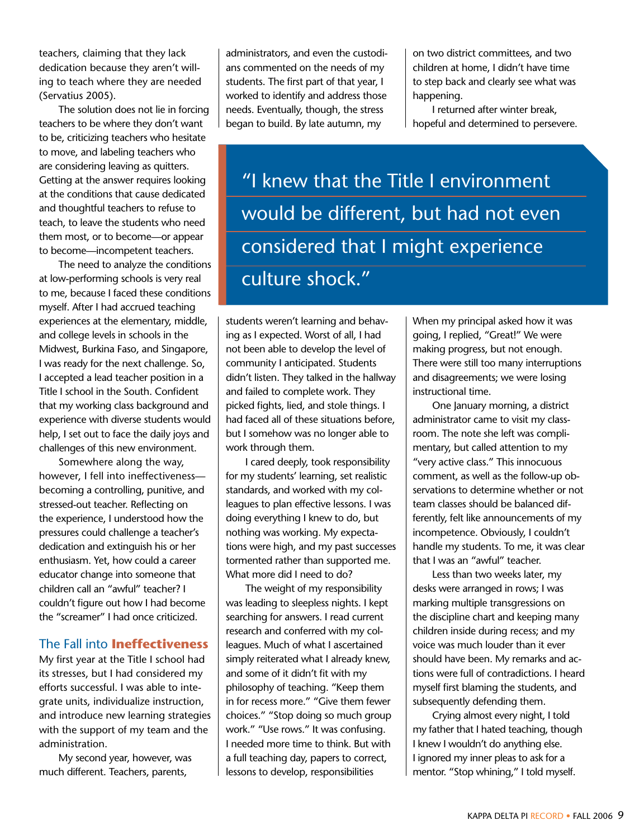teachers, claiming that they lack dedication because they aren't willing to teach where they are needed (Servatius 2005).

The solution does not lie in forcing teachers to be where they don't want to be, criticizing teachers who hesitate to move, and labeling teachers who are considering leaving as quitters. Getting at the answer requires looking at the conditions that cause dedicated and thoughtful teachers to refuse to teach, to leave the students who need them most, or to become—or appear to become—incompetent teachers.

The need to analyze the conditions at low-performing schools is very real to me, because I faced these conditions myself. After I had accrued teaching experiences at the elementary, middle, and college levels in schools in the Midwest, Burkina Faso, and Singapore, I was ready for the next challenge. So, I accepted a lead teacher position in a Title I school in the South. Confident that my working class background and experience with diverse students would help, I set out to face the daily joys and challenges of this new environment.

Somewhere along the way, however, I fell into ineffectiveness becoming a controlling, punitive, and stressed-out teacher. Reflecting on the experience, I understood how the pressures could challenge a teacher's dedication and extinguish his or her enthusiasm. Yet, how could a career educator change into someone that children call an "awful" teacher? I couldn't figure out how I had become the "screamer" I had once criticized.

#### The Fall into **Ineffectiveness**

My first year at the Title I school had its stresses, but I had considered my efforts successful. I was able to integrate units, individualize instruction, and introduce new learning strategies with the support of my team and the administration.

My second year, however, was much different. Teachers, parents,

administrators, and even the custodians commented on the needs of my students. The first part of that year, I worked to identify and address those needs. Eventually, though, the stress began to build. By late autumn, my

on two district committees, and two children at home, I didn't have time to step back and clearly see what was happening.

I returned after winter break, hopeful and determined to persevere.

"I knew that the Title I environment would be different, but had not even considered that I might experience culture shock."

students weren't learning and behaving as I expected. Worst of all, I had not been able to develop the level of community I anticipated. Students didn't listen. They talked in the hallway and failed to complete work. They picked fights, lied, and stole things. I had faced all of these situations before, but I somehow was no longer able to work through them.

I cared deeply, took responsibility for my students' learning, set realistic standards, and worked with my colleagues to plan effective lessons. I was doing everything I knew to do, but nothing was working. My expectations were high, and my past successes tormented rather than supported me. What more did I need to do?

The weight of my responsibility was leading to sleepless nights. I kept searching for answers. I read current research and conferred with my colleagues. Much of what I ascertained simply reiterated what I already knew, and some of it didn't fit with my philosophy of teaching. "Keep them in for recess more." "Give them fewer choices." "Stop doing so much group work." "Use rows." It was confusing. I needed more time to think. But with a full teaching day, papers to correct, lessons to develop, responsibilities

When my principal asked how it was going, I replied, "Great!" We were making progress, but not enough. There were still too many interruptions and disagreements; we were losing instructional time.

One January morning, a district administrator came to visit my classroom. The note she left was complimentary, but called attention to my "very active class." This innocuous comment, as well as the follow-up observations to determine whether or not team classes should be balanced differently, felt like announcements of my incompetence. Obviously, I couldn't handle my students. To me, it was clear that I was an "awful" teacher.

Less than two weeks later, my desks were arranged in rows; I was marking multiple transgressions on the discipline chart and keeping many children inside during recess; and my voice was much louder than it ever should have been. My remarks and actions were full of contradictions. I heard myself first blaming the students, and subsequently defending them.

Crying almost every night, I told my father that I hated teaching, though I knew I wouldn't do anything else. I ignored my inner pleas to ask for a mentor. "Stop whining," I told myself.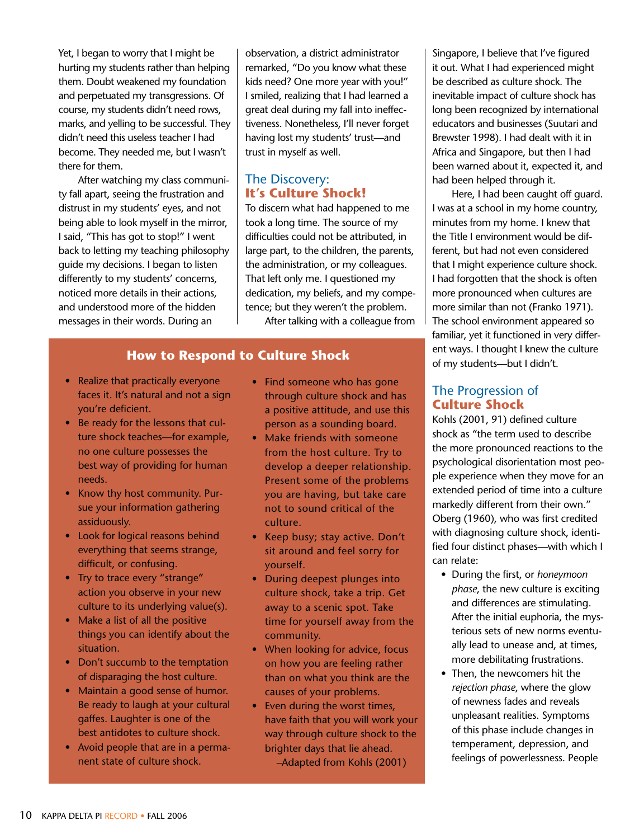Yet, I began to worry that I might be hurting my students rather than helping them. Doubt weakened my foundation and perpetuated my transgressions. Of course, my students didn't need rows, marks, and yelling to be successful. They didn't need this useless teacher I had become. They needed me, but I wasn't there for them.

After watching my class community fall apart, seeing the frustration and distrust in my students' eyes, and not being able to look myself in the mirror, I said, "This has got to stop!" I went back to letting my teaching philosophy guide my decisions. I began to listen differently to my students' concerns, noticed more details in their actions, and understood more of the hidden messages in their words. During an

observation, a district administrator remarked, "Do you know what these kids need? One more year with you!" I smiled, realizing that I had learned a great deal during my fall into ineffectiveness. Nonetheless, I'll never forget having lost my students' trust—and trust in myself as well.

# The Discovery: **It's Culture Shock!**

To discern what had happened to me took a long time. The source of my difficulties could not be attributed, in large part, to the children, the parents, the administration, or my colleagues. That left only me. I questioned my dedication, my beliefs, and my competence; but they weren't the problem.

After talking with a colleague from

# **How to Respond to Culture Shock**

- Realize that practically everyone faces it. It's natural and not a sign you're deficient.
- Be ready for the lessons that culture shock teaches—for example, no one culture possesses the best way of providing for human needs.
- Know thy host community. Pursue your information gathering assiduously.
- Look for logical reasons behind everything that seems strange, difficult, or confusing.
- Try to trace every "strange" action you observe in your new culture to its underlying value(s).
- Make a list of all the positive things you can identify about the situation.
- Don't succumb to the temptation of disparaging the host culture.
- Maintain a good sense of humor. Be ready to laugh at your cultural gaffes. Laughter is one of the best antidotes to culture shock.
- Avoid people that are in a permanent state of culture shock.
- Find someone who has gone through culture shock and has a positive attitude, and use this person as a sounding board.
- Make friends with someone from the host culture. Try to develop a deeper relationship. Present some of the problems you are having, but take care not to sound critical of the culture.
- Keep busy; stay active. Don't sit around and feel sorry for yourself.
- During deepest plunges into culture shock, take a trip. Get away to a scenic spot. Take time for yourself away from the community.
- When looking for advice, focus on how you are feeling rather than on what you think are the causes of your problems.
- Even during the worst times, have faith that you will work your way through culture shock to the brighter days that lie ahead. –Adapted from Kohls (2001)

Singapore, I believe that I've figured it out. What I had experienced might be described as culture shock. The inevitable impact of culture shock has long been recognized by international educators and businesses (Suutari and Brewster 1998). I had dealt with it in Africa and Singapore, but then I had been warned about it, expected it, and had been helped through it.

Here, I had been caught off guard. I was at a school in my home country, minutes from my home. I knew that the Title I environment would be different, but had not even considered that I might experience culture shock. I had forgotten that the shock is often more pronounced when cultures are more similar than not (Franko 1971). The school environment appeared so familiar, yet it functioned in very different ways. I thought I knew the culture of my students—but I didn't.

# The Progression of **Culture Shock**

Kohls (2001, 91) defined culture shock as "the term used to describe the more pronounced reactions to the psychological disorientation most people experience when they move for an extended period of time into a culture markedly different from their own." Oberg (1960), who was first credited with diagnosing culture shock, identified four distinct phases—with which I can relate:

- During the first, or *honeymoon phase*, the new culture is exciting and differences are stimulating. After the initial euphoria, the mysterious sets of new norms eventually lead to unease and, at times, more debilitating frustrations.
- Then, the newcomers hit the *rejection phase*, where the glow of newness fades and reveals unpleasant realities. Symptoms of this phase include changes in temperament, depression, and feelings of powerlessness. People